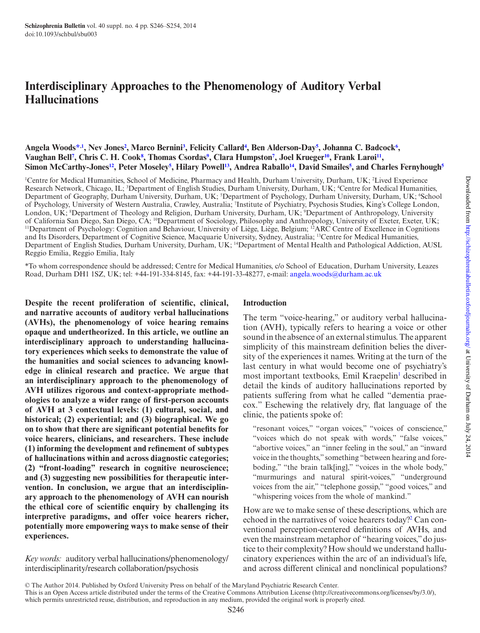# **Interdisciplinary Approaches to the Phenomenology of Auditory Verbal Hallucinations**

### Angela Woods[\\*](#page-0-0)<sup>,[1](#page-0-1)</sup>, Nev Jones<sup>[2](#page-0-2)</sup>, Marco Bernini<sup>3</sup>, Felicity Callard<sup>4</sup>, Ben Alderson-Day<sup>5</sup>, Johanna C. Badcock<sup>6</sup>,  $\nabla$ **Vaughan Bell<sup>[7](#page-0-7)</sup>, Chris C. H. Cook<sup>8</sup>, Thomas Csordas<sup>[9](#page-0-9)</sup>, Clara Humpston<sup>7</sup>, Joel Krueger<sup>10</sup>, Frank Larøi<sup>11</sup>, Simon McCarthy-Jones[12](#page-0-12), Peter Mosele[y5](#page-0-5) , Hilary Powell[13,](#page-0-13) Andrea Raballo[14](#page-0-14), David Smaile[s5](#page-0-5) , and Charles Fernyhoug[h5](#page-0-5)**

<span id="page-0-10"></span><span id="page-0-9"></span><span id="page-0-8"></span><span id="page-0-7"></span><span id="page-0-5"></span><span id="page-0-3"></span><span id="page-0-2"></span><span id="page-0-1"></span><sup>1</sup>Centre for Medical Humanities, School of Medicine, Pharmacy and Health, Durham University, Durham, UK; <sup>2</sup>Lived Experience Research Network, Chicago, IL; <sup>3</sup>Department of English Studies, Durham University, Durham, UK; <sup>4</sup>Centre for Medical Humanities, Department of Geography, Durham University, Durham, UK; <sup>5</sup>Department of Psychology, Durham University, Durham, UK; <sup>6</sup>School of Psychology, University of Western Australia, Crawley, Australia; 7 Institute of Psychiatry, Psychosis Studies, King's College London, London, UK; <sup>8</sup>Department of Theology and Religion, Durham University, Durham, UK; <sup>9</sup>Department of Anthropology, University of California San Diego, San Diego, CA; <sup>10</sup>Department of Sociology, Philosophy and Anthropology, University of Exeter, Exeter, UK;<br><sup>11</sup>Department of Psychology: Cognition and Behaviour, University of Liège, Liège, Belgium and Its Disorders, Department of Cognitive Science, Macquarie University, Sydney, Australia; 13Centre for Medical Humanities, Department of English Studies, Durham University, Durham, UK; 14Department of Mental Health and Pathological Addiction, AUSL Reggio Emilia, Reggio Emilia, Italy

<span id="page-0-14"></span><span id="page-0-13"></span><span id="page-0-12"></span><span id="page-0-11"></span><span id="page-0-0"></span>\*To whom correspondence should be addressed; Centre for Medical Humanities, c/o School of Education, Durham University, Leazes Road, Durham DH1 1SZ, UK; tel: +44-191-334-8145, fax: +44-191-33-48277, e-mail: [angela.woods@durham.ac.uk](mailto:angela.woods@durham.ac.uk?subject=)

**Despite the recent proliferation of scientific, clinical, and narrative accounts of auditory verbal hallucinations (AVHs), the phenomenology of voice hearing remains opaque and undertheorized. In this article, we outline an interdisciplinary approach to understanding hallucinatory experiences which seeks to demonstrate the value of the humanities and social sciences to advancing knowledge in clinical research and practice. We argue that an interdisciplinary approach to the phenomenology of AVH utilizes rigorous and context-appropriate methodologies to analyze a wider range of first-person accounts of AVH at 3 contextual levels: (1) cultural, social, and historical; (2) experiential; and (3) biographical. We go on to show that there are significant potential benefits for voice hearers, clinicians, and researchers. These include (1) informing the development and refinement of subtypes of hallucinations within and across diagnostic categories; (2) "front-loading" research in cognitive neuroscience; and (3) suggesting new possibilities for therapeutic intervention. In conclusion, we argue that an interdisciplinary approach to the phenomenology of AVH can nourish the ethical core of scientific enquiry by challenging its interpretive paradigms, and offer voice hearers richer, potentially more empowering ways to make sense of their experiences.**

*Key words:* auditory verbal hallucinations/phenomenology/ interdisciplinarity/research collaboration/psychosis

### <span id="page-0-6"></span><span id="page-0-4"></span>**Introduction**

The term "voice-hearing," or auditory verbal hallucination (AVH), typically refers to hearing a voice or other sound in the absence of an external stimulus. The apparent simplicity of this mainstream definition belies the diversity of the experiences it names. Writing at the turn of the last century in what would become one of psychiatry's most important textbooks, Emil Kraepelin<sup>[1](#page-6-0)</sup> described in detail the kinds of auditory hallucinations reported by patients suffering from what he called "dementia praecox." Eschewing the relatively dry, flat language of the clinic, the patients spoke of:

"resonant voices," "organ voices," "voices of conscience," "voices which do not speak with words," "false voices," "abortive voices," an "inner feeling in the soul," an "inward voice in the thoughts," something "between hearing and foreboding," "the brain talk[ing]," "voices in the whole body," "murmurings and natural spirit-voices," "underground voices from the air," "telephone gossip," "good voices," and "whispering voices from the whole of mankind."

How are we to make sense of these descriptions, which are echoed in the narratives of voice hearers today?<sup>2</sup> Can conventional perception-centered definitions of AVHs, and even the mainstream metaphor of "hearing voices," do justice to their complexity? How should we understand hallucinatory experiences within the arc of an individual's life, and across different clinical and nonclinical populations?

<sup>©</sup> The Author 2014. Published by Oxford University Press on behalf of the Maryland Psychiatric Research Center.

This is an Open Access article distributed under the terms of the Creative Commons Attribution License (http://creativecommons.org/licenses/by/3.0/), which permits unrestricted reuse, distribution, and reproduction in any medium, provided the original work is properly cited.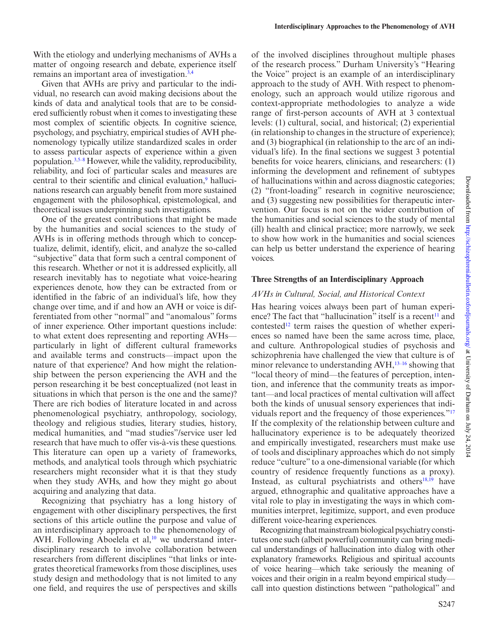With the etiology and underlying mechanisms of AVHs a matter of ongoing research and debate, experience itself remains an important area of investigation.[3](#page-6-2)[,4](#page-6-3)

Given that AVHs are privy and particular to the individual, no research can avoid making decisions about the kinds of data and analytical tools that are to be considered sufficiently robust when it comes to investigating these most complex of scientific objects. In cognitive science, psychology, and psychiatry, empirical studies of AVH phenomenology typically utilize standardized scales in order to assess particular aspects of experience within a given population.[3,](#page-6-2)[5–8](#page-6-4) However, while the validity, reproducibility, reliability, and foci of particular scales and measures are central to their scientific and clinical evaluation,<sup>[9](#page-6-5)</sup> hallucinations research can arguably benefit from more sustained engagement with the philosophical, epistemological, and theoretical issues underpinning such investigations.

One of the greatest contributions that might be made by the humanities and social sciences to the study of AVHs is in offering methods through which to conceptualize, delimit, identify, elicit, and analyze the so-called "subjective" data that form such a central component of this research. Whether or not it is addressed explicitly, all research inevitably has to negotiate what voice-hearing experiences denote, how they can be extracted from or identified in the fabric of an individual's life, how they change over time, and if and how an AVH or voice is differentiated from other "normal" and "anomalous" forms of inner experience. Other important questions include: to what extent does representing and reporting AVHs particularly in light of different cultural frameworks and available terms and constructs—impact upon the nature of that experience? And how might the relationship between the person experiencing the AVH and the person researching it be best conceptualized (not least in situations in which that person is the one and the same)? There are rich bodies of literature located in and across phenomenological psychiatry, anthropology, sociology, theology and religious studies, literary studies, history, medical humanities, and "mad studies"/service user led research that have much to offer vis-à-vis these questions. This literature can open up a variety of frameworks, methods, and analytical tools through which psychiatric researchers might reconsider what it is that they study when they study AVHs, and how they might go about acquiring and analyzing that data.

Recognizing that psychiatry has a long history of engagement with other disciplinary perspectives, the first sections of this article outline the purpose and value of an interdisciplinary approach to the phenomenology of AVH. Following Aboelela et al,<sup>10</sup> we understand interdisciplinary research to involve collaboration between researchers from different disciplines "that links or integrates theoretical frameworks from those disciplines, uses study design and methodology that is not limited to any one field, and requires the use of perspectives and skills of the involved disciplines throughout multiple phases of the research process." Durham University's "Hearing the Voice" project is an example of an interdisciplinary approach to the study of AVH. With respect to phenomenology, such an approach would utilize rigorous and context-appropriate methodologies to analyze a wide range of first-person accounts of AVH at 3 contextual levels: (1) cultural, social, and historical; (2) experiential (in relationship to changes in the structure of experience); and (3) biographical (in relationship to the arc of an individual's life). In the final sections we suggest 3 potential benefits for voice hearers, clinicians, and researchers: (1) informing the development and refinement of subtypes of hallucinations within and across diagnostic categories; (2) "front-loading" research in cognitive neuroscience; and (3) suggesting new possibilities for therapeutic intervention. Our focus is not on the wider contribution of the humanities and social sciences to the study of mental (ill) health and clinical practice; more narrowly, we seek to show how work in the humanities and social sciences can help us better understand the experience of hearing voices.

#### **Three Strengths of an Interdisciplinary Approach**

#### *AVHs in Cultural, Social, and Historical Context*

Has hearing voices always been part of human experience? The fact that "hallucination" itself is a recent $11$  and contested<sup>12</sup> term raises the question of whether experiences so named have been the same across time, place, and culture. Anthropological studies of psychosis and schizophrenia have challenged the view that culture is of minor relevance to understanding  $AVH$ ,  $^{13-16}$  showing that "local theory of mind—the features of perception, intention, and inference that the community treats as important—and local practices of mental cultivation will affect both the kinds of unusual sensory experiences that individuals report and the frequency of those experiences."[17](#page-7-0) If the complexity of the relationship between culture and hallucinatory experience is to be adequately theorized and empirically investigated, researchers must make use of tools and disciplinary approaches which do not simply reduce "culture" to a one-dimensional variable (for which country of residence frequently functions as a proxy). Instead, as cultural psychiatrists and others $18,19$  $18,19$  have argued, ethnographic and qualitative approaches have a vital role to play in investigating the ways in which communities interpret, legitimize, support, and even produce different voice-hearing experiences.

Recognizing that mainstream biological psychiatry constitutes one such (albeit powerful) community can bring medical understandings of hallucination into dialog with other explanatory frameworks. Religious and spiritual accounts of voice hearing—which take seriously the meaning of voices and their origin in a realm beyond empirical study call into question distinctions between "pathological" and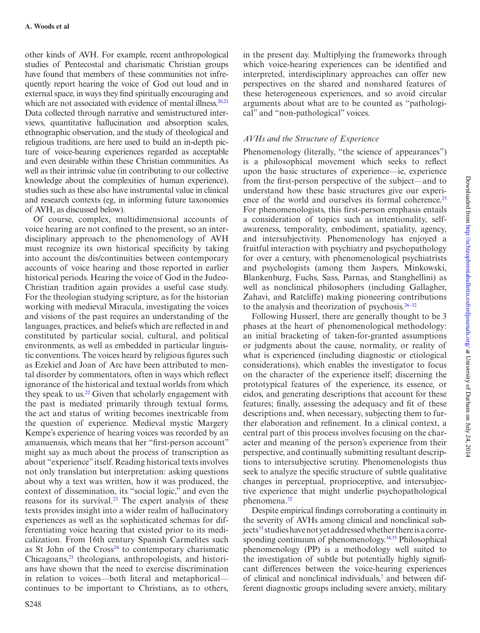other kinds of AVH. For example, recent anthropological studies of Pentecostal and charismatic Christian groups have found that members of these communities not infrequently report hearing the voice of God out loud and in external space, in ways they find spiritually encouraging and which are not associated with evidence of mental illness. $20,21$  $20,21$ Data collected through narrative and semistructured interviews, quantitative hallucination and absorption scales, ethnographic observation, and the study of theological and religious traditions, are here used to build an in-depth picture of voice-hearing experiences regarded as acceptable and even desirable within these Christian communities. As well as their intrinsic value (in contributing to our collective knowledge about the complexities of human experience), studies such as these also have instrumental value in clinical and research contexts (eg, in informing future taxonomies of AVH, as discussed below).

Of course, complex, multidimensional accounts of voice hearing are not confined to the present, so an interdisciplinary approach to the phenomenology of AVH must recognize its own historical specificity by taking into account the dis/continuities between contemporary accounts of voice hearing and those reported in earlier historical periods. Hearing the voice of God in the Judeo-Christian tradition again provides a useful case study. For the theologian studying scripture, as for the historian working with medieval Miracula, investigating the voices and visions of the past requires an understanding of the languages, practices, and beliefs which are reflected in and constituted by particular social, cultural, and political environments, as well as embedded in particular linguistic conventions. The voices heard by religious figures such as Ezekiel and Joan of Arc have been attributed to mental disorder by commentators, often in ways which reflect ignorance of the historical and textual worlds from which they speak to us. $^{22}$  Given that scholarly engagement with the past is mediated primarily through textual forms, the act and status of writing becomes inextricable from the question of experience. Medieval mystic Margery Kempe's experience of hearing voices was recorded by an amanuensis, which means that her "first-person account" might say as much about the process of transcription as about "experience" itself. Reading historical texts involves not only translation but interpretation: asking questions about why a text was written, how it was produced, the context of dissemination, its "social logic," and even the reasons for its survival. $23$  The expert analysis of these texts provides insight into a wider realm of hallucinatory experiences as well as the sophisticated schemas for differentiating voice hearing that existed prior to its medicalization. From 16th century Spanish Carmelites such as St John of the  $Cross<sup>24</sup>$  $Cross<sup>24</sup>$  $Cross<sup>24</sup>$  to contemporary charismatic Chicagoans,<sup>21</sup> theologians, anthropologists, and historians have shown that the need to exercise discrimination in relation to voices—both literal and metaphorical continues to be important to Christians, as to others,

in the present day. Multiplying the frameworks through which voice-hearing experiences can be identified and interpreted, interdisciplinary approaches can offer new perspectives on the shared and nonshared features of these heterogeneous experiences, and so avoid circular arguments about what are to be counted as "pathological" and "non-pathological" voices.

#### *AVHs and the Structure of Experience*

Phenomenology (literally, "the science of appearances") is a philosophical movement which seeks to reflect upon the basic structures of experience—ie, experience from the first-person perspective of the subject—and to understand how these basic structures give our experi-ence of the world and ourselves its formal coherence.<sup>[25](#page-7-8)</sup> For phenomenologists, this first-person emphasis entails a consideration of topics such as intentionality, selfawareness, temporality, embodiment, spatiality, agency, and intersubjectivity. Phenomenology has enjoyed a fruitful interaction with psychiatry and psychopathology for over a century, with phenomenological psychiatrists and psychologists (among them Jaspers, Minkowski, Blankenburg, Fuchs, Sass, Parnas, and Stanghellini) as well as nonclinical philosophers (including Gallagher, Zahavi, and Ratcliffe) making pioneering contributions to the analysis and theorization of psychosis. $26-32$ 

Following Husserl, there are generally thought to be 3 phases at the heart of phenomenological methodology: an initial bracketing of taken-for-granted assumptions or judgments about the cause, normality, or reality of what is experienced (including diagnostic or etiological considerations), which enables the investigator to focus on the character of the experience itself; discerning the prototypical features of the experience, its essence, or eidos, and generating descriptions that account for these features; finally, assessing the adequacy and fit of these descriptions and, when necessary, subjecting them to further elaboration and refinement. In a clinical context, a central part of this process involves focusing on the character and meaning of the person's experience from their perspective, and continually submitting resultant descriptions to intersubjective scrutiny. Phenomenologists thus seek to analyze the specific structure of subtle qualitative changes in perceptual, proprioceptive, and intersubjective experience that might underlie psychopathological phenomena.<sup>[32](#page-7-10)</sup>

Despite empirical findings corroborating a continuity in the severity of AVHs among clinical and nonclinical subjects<sup>33</sup> studies have not yet addressed whether there is a corre-sponding continuum of phenomenology.<sup>34[,35](#page-7-13)</sup> Philosophical phenomenology (PP) is a methodology well suited to the investigation of subtle but potentially highly significant differences between the voice-hearing experiences of clinical and nonclinical individuals,<sup>7</sup> and between different diagnostic groups including severe anxiety, military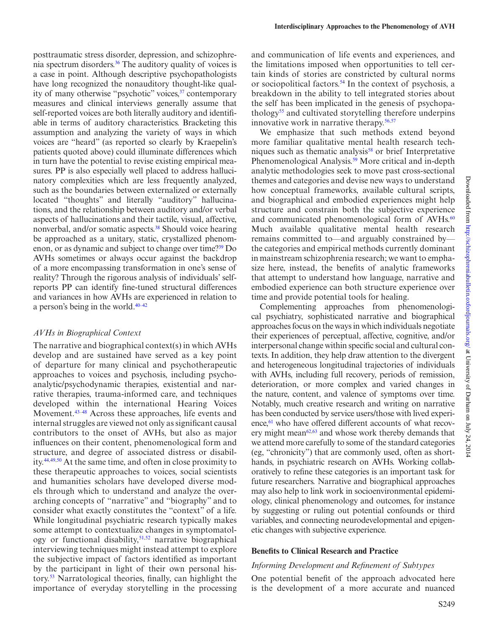posttraumatic stress disorder, depression, and schizophrenia spectrum disorders.<sup>36</sup> The auditory quality of voices is a case in point. Although descriptive psychopathologists have long recognized the nonauditory thought-like quality of many otherwise "psychotic" voices,<sup>37</sup> contemporary measures and clinical interviews generally assume that self-reported voices are both literally auditory and identifiable in terms of auditory characteristics. Bracketing this assumption and analyzing the variety of ways in which voices are "heard" (as reported so clearly by Kraepelin's patients quoted above) could illuminate differences which in turn have the potential to revise existing empirical measures. PP is also especially well placed to address hallucinatory complexities which are less frequently analyzed, such as the boundaries between externalized or externally located "thoughts" and literally "auditory" hallucinations, and the relationship between auditory and/or verbal aspects of hallucinations and their tactile, visual, affective, nonverbal, and/or somatic aspects.<sup>38</sup> Should voice hearing be approached as a unitary, static, crystallized phenomenon, or as dynamic and subject to change over time[?39](#page-7-17) Do AVHs sometimes or always occur against the backdrop of a more encompassing transformation in one's sense of reality? Through the rigorous analysis of individuals' selfreports PP can identify fine-tuned structural differences and variances in how AVHs are experienced in relation to a person's being in the world. $40-42$ 

### *AVHs in Biographical Context*

The narrative and biographical context(s) in which AVHs develop and are sustained have served as a key point of departure for many clinical and psychotherapeutic approaches to voices and psychosis, including psychoanalytic/psychodynamic therapies, existential and narrative therapies, trauma-informed care, and techniques developed within the international Hearing Voices Movement.<sup>43–48</sup> Across these approaches, life events and internal struggles are viewed not only as significant causal contributors to the onset of AVHs, but also as major influences on their content, phenomenological form and structure, and degree of associated distress or disability[.44,](#page-7-20)[49](#page-7-21)[,50](#page-7-22) At the same time, and often in close proximity to these therapeutic approaches to voices, social scientists and humanities scholars have developed diverse models through which to understand and analyze the overarching concepts of "narrative" and "biography" and to consider what exactly constitutes the "context" of a life. While longitudinal psychiatric research typically makes some attempt to contextualize changes in symptomatol-ogy or functional disability,<sup>[51](#page-7-23),[52](#page-7-24)</sup> narrative biographical interviewing techniques might instead attempt to explore the subjective impact of factors identified as important by the participant in light of their own personal history[.53](#page-7-25) Narratological theories, finally, can highlight the importance of everyday storytelling in the processing and communication of life events and experiences, and the limitations imposed when opportunities to tell certain kinds of stories are constricted by cultural norms or sociopolitical factors.<sup>54</sup> In the context of psychosis, a breakdown in the ability to tell integrated stories about the self has been implicated in the genesis of psychopathology<sup>55</sup> and cultivated storytelling therefore underpins innovative work in narrative therapy.[56](#page-8-0),[57](#page-8-1)

We emphasize that such methods extend beyond more familiar qualitative mental health research techniques such as thematic analysis<sup>58</sup> or brief Interpretative Phenomenological Analysis.<sup>59</sup> More critical and in-depth analytic methodologies seek to move past cross-sectional themes and categories and devise new ways to understand how conceptual frameworks, available cultural scripts, and biographical and embodied experiences might help structure and constrain both the subjective experience and communicated phenomenological form of AVHs.<sup>[60](#page-8-4)</sup> Much available qualitative mental health research remains committed to—and arguably constrained by the categories and empirical methods currently dominant in mainstream schizophrenia research; we want to emphasize here, instead, the benefits of analytic frameworks that attempt to understand how language, narrative and embodied experience can both structure experience over time and provide potential tools for healing.

Complementing approaches from phenomenological psychiatry, sophisticated narrative and biographical approaches focus on the ways in which individuals negotiate their experiences of perceptual, affective, cognitive, and/or interpersonal change within specific social and cultural contexts. In addition, they help draw attention to the divergent and heterogeneous longitudinal trajectories of individuals with AVHs, including full recovery, periods of remission, deterioration, or more complex and varied changes in the nature, content, and valence of symptoms over time. Notably, much creative research and writing on narrative has been conducted by service users/those with lived experience,<sup>61</sup> who have offered different accounts of what recovery might mean $62,63$  and whose work thereby demands that we attend more carefully to some of the standard categories (eg, "chronicity") that are commonly used, often as shorthands, in psychiatric research on AVHs. Working collaboratively to refine these categories is an important task for future researchers. Narrative and biographical approaches may also help to link work in socioenvironmental epidemiology, clinical phenomenology and outcomes, for instance by suggesting or ruling out potential confounds or third variables, and connecting neurodevelopmental and epigenetic changes with subjective experience.

### **Benefits to Clinical Research and Practice**

#### *Informing Development and Refinement of Subtypes*

One potential benefit of the approach advocated here is the development of a more accurate and nuanced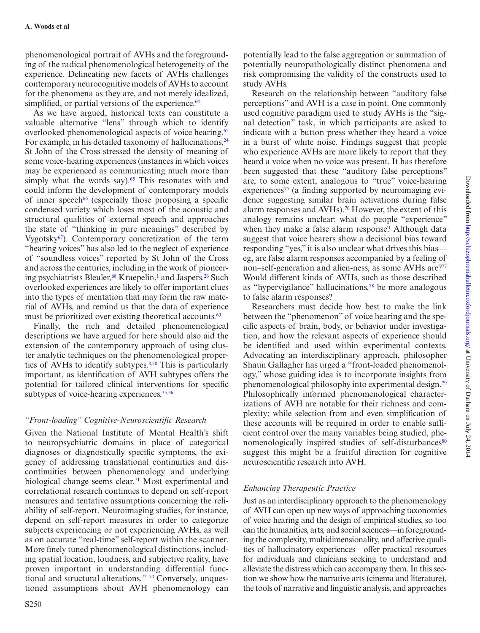phenomenological portrait of AVHs and the foregrounding of the radical phenomenological heterogeneity of the experience. Delineating new facets of AVHs challenges contemporary neurocognitive models of AVHs to account for the phenomena as they are, and not merely idealized, simplified, or partial versions of the experience.<sup>64</sup>

As we have argued, historical texts can constitute a valuable alternative "lens" through which to identify overlooked phenomenological aspects of voice hearing.<sup>[65](#page-8-9)</sup> For example, in his detailed taxonomy of hallucinations,<sup>[24](#page-7-7)</sup> St John of the Cross stressed the density of meaning of some voice-hearing experiences (instances in which voices may be experienced as communicating much more than simply what the words say).<sup>[65](#page-8-9)</sup> This resonates with and could inform the development of contemporary models of inner speech<sup>66</sup> (especially those proposing a specific condensed variety which loses most of the acoustic and structural qualities of external speech and approaches the state of "thinking in pure meanings" described by Vygotsky[67\)](#page-8-11). Contemporary concretization of the term "hearing voices" has also led to the neglect of experience of "soundless voices" reported by St John of the Cross and across the centuries, including in the work of pioneer-ing psychiatrists Bleuler,<sup>68</sup> Kraepelin,<sup>[1](#page-6-0)</sup> and Jaspers.<sup>26</sup> Such overlooked experiences are likely to offer important clues into the types of mentation that may form the raw material of AVHs, and remind us that the data of experience must be prioritized over existing theoretical accounts.<sup>[69](#page-8-13)</sup>

Finally, the rich and detailed phenomenological descriptions we have argued for here should also aid the extension of the contemporary approach of using cluster analytic techniques on the phenomenological proper-ties of AVHs to identify subtypes.<sup>[8,](#page-6-11)70</sup> This is particularly important, as identification of AVH subtypes offers the potential for tailored clinical interventions for specific subtypes of voice-hearing experiences.<sup>35,[36](#page-7-14)</sup>

## *"Front-loading" Cognitive-Neuroscientific Research*

Given the National Institute of Mental Health's shift to neuropsychiatric domains in place of categorical diagnoses or diagnostically specific symptoms, the exigency of addressing translational continuities and discontinuities between phenomenology and underlying biological change seems clear.<sup>[71](#page-8-15)</sup> Most experimental and correlational research continues to depend on self-report measures and tentative assumptions concerning the reliability of self-report. Neuroimaging studies, for instance, depend on self-report measures in order to categorize subjects experiencing or not experiencing AVHs, as well as on accurate "real-time" self-report within the scanner. More finely tuned phenomenological distinctions, including spatial location, loudness, and subjective reality, have proven important in understanding differential functional and structural alterations.<sup>72-74</sup> Conversely, unquestioned assumptions about AVH phenomenology can

Research on the relationship between "auditory false perceptions" and AVH is a case in point. One commonly used cognitive paradigm used to study AVHs is the "signal detection" task, in which participants are asked to indicate with a button press whether they heard a voice in a burst of white noise. Findings suggest that people who experience AVHs are more likely to report that they heard a voice when no voice was present. It has therefore been suggested that these "auditory false perceptions" are, to some extent, analogous to "true" voice-hearing experiences<sup>75</sup> (a finding supported by neuroimaging evidence suggesting similar brain activations during false alarm responses and AVHs).<sup>76</sup> However, the extent of this analogy remains unclear: what do people "experience" when they make a false alarm response? Although data suggest that voice hearers show a decisional bias toward responding "yes," it is also unclear what drives this bias eg, are false alarm responses accompanied by a feeling of non–self-generation and alien-ness, as some AVHs are?<sup>[77](#page-8-19)</sup> Would different kinds of AVHs, such as those described as "hypervigilance" hallucinations,[78](#page-8-20) be more analogous to false alarm responses?

Researchers must decide how best to make the link between the "phenomenon" of voice hearing and the specific aspects of brain, body, or behavior under investigation, and how the relevant aspects of experience should be identified and used within experimental contexts. Advocating an interdisciplinary approach, philosopher Shaun Gallagher has urged a "front-loaded phenomenology," whose guiding idea is to incorporate insights from phenomenological philosophy into experimental design.<sup>[79](#page-8-21)</sup> Philosophically informed phenomenological characterizations of AVH are notable for their richness and complexity; while selection from and even simplification of these accounts will be required in order to enable sufficient control over the many variables being studied, phe-nomenologically inspired studies of self-disturbances<sup>[80](#page-8-22)</sup> suggest this might be a fruitful direction for cognitive neuroscientific research into AVH.

## *Enhancing Therapeutic Practice*

Just as an interdisciplinary approach to the phenomenology of AVH can open up new ways of approaching taxonomies of voice hearing and the design of empirical studies, so too can the humanities, arts, and social sciences—in foregrounding the complexity, multidimensionality, and affective qualities of hallucinatory experiences—offer practical resources for individuals and clinicians seeking to understand and alleviate the distress which can accompany them. In this section we show how the narrative arts (cinema and literature), the tools of narrative and linguistic analysis, and approaches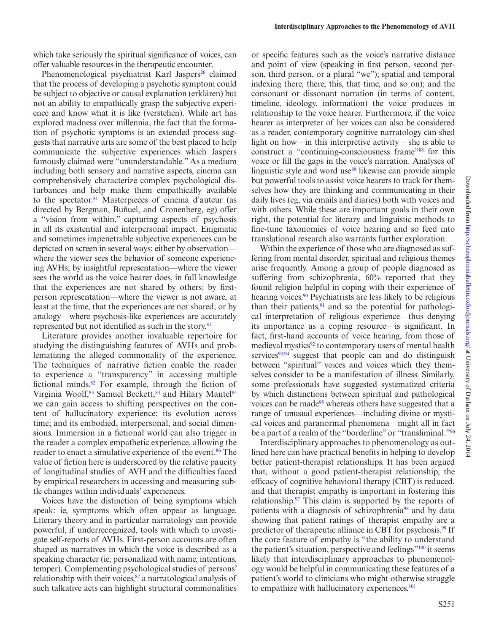which take seriously the spiritual significance of voices, can offer valuable resources in the therapeutic encounter.

Phenomenological psychiatrist Karl Jaspers<sup>26</sup> claimed that the process of developing a psychotic symptom could be subject to objective or causal explanation (erklären) but not an ability to empathically grasp the subjective experience and know what it is like (verstehen). While art has explored madness over millennia, the fact that the formation of psychotic symptoms is an extended process suggests that narrative arts are some of the best placed to help communicate the subjective experiences which Jaspers famously claimed were "ununderstandable." As a medium including both sensory and narrative aspects, cinema can comprehensively characterize complex psychological disturbances and help make them empathically available to the spectator[.81](#page-8-23) Masterpieces of cinema d'auteur (as directed by Bergman, Buñuel, and Cronenberg, eg) offer a "vision from within," capturing aspects of psychosis in all its existential and interpersonal impact. Enigmatic and sometimes impenetrable subjective experiences can be depicted on screen in several ways: either by observation where the viewer sees the behavior of someone experiencing AVHs; by insightful representation—where the viewer sees the world as the voice hearer does, in full knowledge that the experiences are not shared by others; by firstperson representation—where the viewer is not aware, at least at the time, that the experiences are not shared; or by analogy—where psychosis-like experiences are accurately represented but not identified as such in the story.<sup>[81](#page-8-23)</sup>

Literature provides another invaluable repertoire for studying the distinguishing features of AVHs and problematizing the alleged commonality of the experience. The techniques of narrative fiction enable the reader to experience a "transparency" in accessing multiple fictional minds.<sup>[82](#page-8-24)</sup> For example, through the fiction of Virginia Woolf,<sup>83</sup> Samuel Beckett,<sup>84</sup> and Hilary Mantel<sup>[85](#page-8-27)</sup> we can gain access to shifting perspectives on the content of hallucinatory experience; its evolution across time; and its embodied, interpersonal, and social dimensions. Immersion in a fictional world can also trigger in the reader a complex empathetic experience, allowing the reader to enact a simulative experience of the event.<sup>86</sup> The value of fiction here is underscored by the relative paucity of longitudinal studies of AVH and the difficulties faced by empirical researchers in accessing and measuring subtle changes within individuals' experiences.

Voices have the distinction of being symptoms which speak: ie, symptoms which often appear as language. Literary theory and in particular narratology can provide powerful, if underrecognized, tools with which to investigate self-reports of AVHs. First-person accounts are often shaped as narratives in which the voice is described as a speaking character (ie, personalized with name, intentions, temper). Complementing psychological studies of persons' relationship with their voices, $\frac{87}{2}$  a narratological analysis of such talkative acts can highlight structural commonalities or specific features such as the voice's narrative distance and point of view (speaking in first person, second person, third person, or a plural "we"); spatial and temporal indexing (here, there, this, that time, and so on); and the consonant or dissonant narration (in terms of content, timeline, ideology, information) the voice produces in relationship to the voice hearer. Furthermore, if the voice hearer as interpreter of her voices can also be considered as a reader, contemporary cognitive narratology can shed light on how—in this interpretive activity – she is able to construct a "continuing-consciousness frame["88](#page-8-30) for this voice or fill the gaps in the voice's narration. Analyses of linguistic style and word use<sup>89</sup> likewise can provide simple but powerful tools to assist voice hearers to track for themselves how they are thinking and communicating in their daily lives (eg, via emails and diaries) both with voices and with others. While these are important goals in their own right, the potential for literary and linguistic methods to fine-tune taxonomies of voice hearing and so feed into translational research also warrants further exploration.

Within the experience of those who are diagnosed as suffering from mental disorder, spiritual and religious themes arise frequently. Among a group of people diagnosed as suffering from schizophrenia, 60% reported that they found religion helpful in coping with their experience of hearing voices.<sup>90</sup> Psychiatrists are less likely to be religious than their patients, $91$  and so the potential for pathological interpretation of religious experience—thus denying its importance as a coping resource—is significant. In fact, first-hand accounts of voice hearing, from those of medieval mystics $92$  to contemporary users of mental health services $93,94$  suggest that people can and do distinguish between "spiritual" voices and voices which they themselves consider to be a manifestation of illness. Similarly, some professionals have suggested systematized criteria by which distinctions between spiritual and pathological voices can be made<sup>95</sup> whereas others have suggested that a range of unusual experiences—including divine or mystical voices and paranormal phenomena—might all in fact be a part of a realm of the "borderline" or "transliminal."<sup>96</sup>

Interdisciplinary approaches to phenomenology as outlined here can have practical benefits in helping to develop better patient-therapist relationships. It has been argued that, without a good patient-therapist relationship, the efficacy of cognitive behavioral therapy (CBT) is reduced, and that therapist empathy is important in fostering this relationship[.97](#page-8-39) This claim is supported by the reports of patients with a diagnosis of schizophrenia<sup>98</sup> and by data showing that patient ratings of therapist empathy are a predictor of therapeutic alliance in CBT for psychosis.<sup>99</sup> If the core feature of empathy is "the ability to understand the patient's situation, perspective and feelings"<sup>100</sup> it seems likely that interdisciplinary approaches to phenomenology would be helpful in communicating these features of a patient's world to clinicians who might otherwise struggle to empathize with hallucinatory experiences.<sup>[101](#page-8-43)</sup>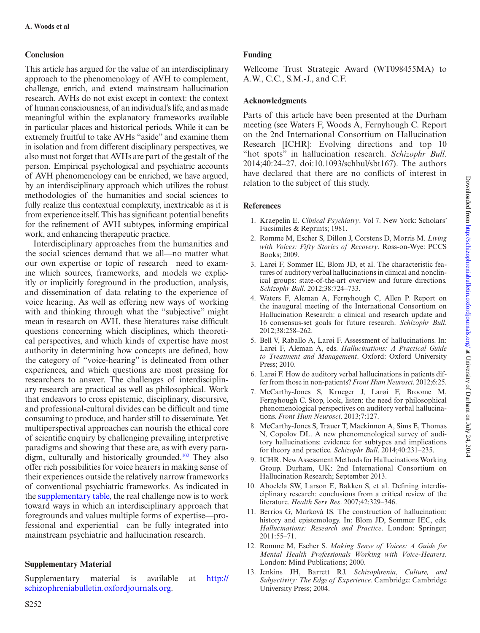# **Conclusion**

This article has argued for the value of an interdisciplinary approach to the phenomenology of AVH to complement, challenge, enrich, and extend mainstream hallucination research. AVHs do not exist except in context: the context of human consciousness, of an individual's life, and as made meaningful within the explanatory frameworks available in particular places and historical periods. While it can be extremely fruitful to take AVHs "aside" and examine them in isolation and from different disciplinary perspectives, we also must not forget that AVHs are part of the gestalt of the person. Empirical psychological and psychiatric accounts of AVH phenomenology can be enriched, we have argued, by an interdisciplinary approach which utilizes the robust methodologies of the humanities and social sciences to fully realize this contextual complexity, inextricable as it is from experience itself. This has significant potential benefits for the refinement of AVH subtypes, informing empirical work, and enhancing therapeutic practice.

Interdisciplinary approaches from the humanities and the social sciences demand that we all—no matter what our own expertise or topic of research—need to examine which sources, frameworks, and models we explicitly or implicitly foreground in the production, analysis, and dissemination of data relating to the experience of voice hearing. As well as offering new ways of working with and thinking through what the "subjective" might mean in research on AVH, these literatures raise difficult questions concerning which disciplines, which theoretical perspectives, and which kinds of expertise have most authority in determining how concepts are defined, how the category of "voice-hearing" is delineated from other experiences, and which questions are most pressing for researchers to answer. The challenges of interdisciplinary research are practical as well as philosophical. Work that endeavors to cross epistemic, disciplinary, discursive, and professional-cultural divides can be difficult and time consuming to produce, and harder still to disseminate. Yet multiperspectival approaches can nourish the ethical core of scientific enquiry by challenging prevailing interpretive paradigms and showing that these are, as with every paradigm, culturally and historically grounded.<sup>102</sup> They also offer rich possibilities for voice hearers in making sense of their experiences outside the relatively narrow frameworks of conventional psychiatric frameworks. As indicated in the [supplementary table](http://schizophreniabulletin.oxfordjournals.org/lookup/suppl/doi:10.1093/schbul/sbu003/-/DC1), the real challenge now is to work toward ways in which an interdisciplinary approach that foregrounds and values multiple forms of expertise—professional and experiential—can be fully integrated into mainstream psychiatric and hallucination research.

# **Supplementary Material**

Supplementary material is available at [http://](http://schizophreniabulletin.oxfordjournals.org/lookup/suppl/doi:10.1093/schbul/sbu003/-/DC1) [schizophreniabulletin.oxfordjournals.org](http://schizophreniabulletin.oxfordjournals.org/lookup/suppl/doi:10.1093/schbul/sbu003/-/DC1).

# **Funding**

Wellcome Trust Strategic Award (WT098455MA) to A.W., C.C., S.M.-J., and C.F.

# **Acknowledgments**

Parts of this article have been presented at the Durham meeting (see Waters F, Woods A, Fernyhough C. Report on the 2nd International Consortium on Hallucination Research [ICHR]: Evolving directions and top 10 "hot spots" in hallucination research. *Schizophr Bull*. 2014;40:24–27. doi:10.1093/schbul/sbt167). The authors have declared that there are no conflicts of interest in relation to the subject of this study.

### **References**

- <span id="page-6-0"></span>1. Kraepelin E. *Clinical Psychiatry*. Vol 7. New York: Scholars' Facsimiles & Reprints; 1981.
- <span id="page-6-1"></span>2. Romme M, Escher S, Dillon J, Corstens D, Morris M. *Living with Voices: Fifty Stories of Recovery*. Ross-on-Wye: PCCS Books; 2009.
- <span id="page-6-2"></span>3. Larøi F, Sommer IE, Blom JD, et al. The characteristic features of auditory verbal hallucinations in clinical and nonclinical groups: state-of-the-art overview and future directions. *Schizophr Bull*. 2012;38:724–733.
- <span id="page-6-3"></span>4. Waters F, Aleman A, Fernyhough C, Allen P. Report on the inaugural meeting of the International Consortium on Hallucination Research: a clinical and research update and 16 consensus-set goals for future research. *Schizophr Bull*. 2012;38:258–262.
- <span id="page-6-4"></span>5. Bell V, Raballo A, Larøi F. Assessment of hallucinations. In: Larøi F, Aleman A, eds. *Hallucinations: A Practical Guide to Treatment and Management*. Oxford: Oxford University Press; 2010.
- 6. Larøi F. How do auditory verbal hallucinations in patients differ from those in non-patients? *Front Hum Neurosci*. 2012;6:25.
- <span id="page-6-10"></span>7. McCarthy-Jones S, Krueger J, Larøi F, Broome M, Fernyhough C. Stop, look, listen: the need for philosophical phenomenological perspectives on auditory verbal hallucinations. *Front Hum Neurosci*. 2013;7:127.
- <span id="page-6-11"></span>8. McCarthy-Jones S, Trauer T, Mackinnon A, Sims E, Thomas N, Copolov DL. A new phenomenological survey of auditory hallucinations: evidence for subtypes and implications for theory and practice. *Schizophr Bull*. 2014;40:231–235.
- <span id="page-6-5"></span>9. ICHR. New Assessment Methods for Hallucinations Working Group. Durham, UK: 2nd International Consortium on Hallucination Research; September 2013.
- <span id="page-6-6"></span>10. Aboelela SW, Larson E, Bakken S, et al. Defining interdisciplinary research: conclusions from a critical review of the literature. *Health Serv Res*. 2007;42:329–346.
- <span id="page-6-7"></span>11. Berrios G, Marková IS. The construction of hallucination: history and epistemology. In: Blom JD, Sommer IEC, eds. *Hallucinations: Research and Practice*. London: Springer; 2011:55–71.
- <span id="page-6-8"></span>12. Romme M, Escher S. *Making Sense of Voices: A Guide for Mental Health Professionals Working with Voice-Hearers*. London: Mind Publications; 2000.
- <span id="page-6-9"></span>13. Jenkins JH, Barrett RJ. *Schizophrenia, Culture, and Subjectivity: The Edge of Experience*. Cambridge: Cambridge University Press; 2004.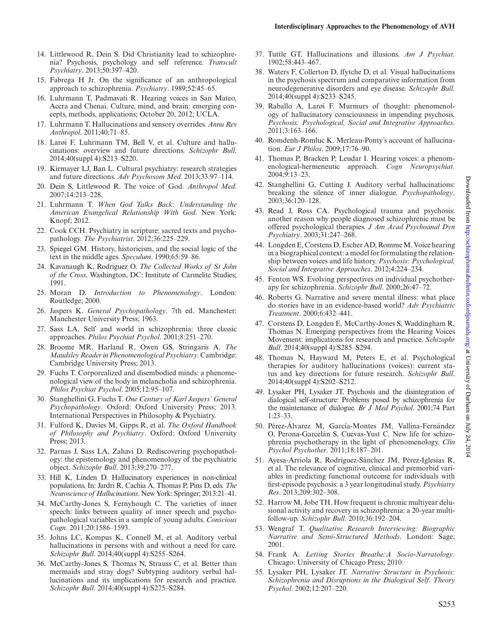- 14. Littlewood R, Dein S. Did Christianity lead to schizophrenia? Psychosis, psychology and self reference. *Transcult Psychiatry*. 2013;50:397–420.
- 15. Fabrega H Jr. On the significance of an anthropological approach to schizophrenia. *Psychiatry*. 1989;52:45–65.
- 16. Luhrmann T, Padmavati R. Hearing voices in San Mateo, Accra and Chenai. Culture, mind, and brain: emerging concepts, methods, applications; October 20, 2012; UCLA.
- <span id="page-7-0"></span>17. Luhrmann T. Hallucinations and sensory overrides. *Annu Rev Anthropol*. 2011;40:71–85.
- <span id="page-7-1"></span>18. Larøi F, Luhrmann TM, Bell V, et al. Culture and hallucinations: overview and future directions. *Schizophr Bull*. 2014;40(suppl 4):S213–S220.
- <span id="page-7-2"></span>19. Kirmayer LJ, Ban L. Cultural psychiatry: research strategies and future directions. *Adv Psychosom Med*. 2013;33:97–114.
- <span id="page-7-3"></span>20. Dein S, Littlewood R. The voice of God. *Anthropol Med*. 2007;14:213–228.
- <span id="page-7-4"></span>21. Luhrmann T. *When God Talks Back: Understanding the American Evangelical Relationship With God*. New York: Knopf; 2012.
- <span id="page-7-5"></span>22. Cook CCH. Psychiatry in scripture: sacred texts and psychopathology. *The Psychiatrist*. 2012;36:225–229.
- <span id="page-7-6"></span>23. Spiegel GM. History, historicism, and the social logic of the text in the middle ages. *Speculum*. 1990;65:59–86.
- <span id="page-7-7"></span>24. Kavanaugh K, Rodriguez O. *The Collected Works of St John of the Cross*. Washington, DC: Institute of Carmelite Studies; 1991.
- <span id="page-7-8"></span>25. Moran D. *Introduction to Phenomenology*. London: Routledge; 2000.
- <span id="page-7-9"></span>26. Jaspers K. *General Psychopathology*. 7th ed. Manchester: Manchester University Press; 1963.
- 27. Sass LA. Self and world in schizophrenia: three classic approaches. *Philos Psychiat Psychol*. 2001;8:251–270.
- 28. Broome MR, Harland R, Owen GS, Stringaris A. *The Maudsley Reader in Phenomenological Psychiatry*. Cambridge: Cambridge University Press; 2013.
- 29. Fuchs T. Corporealized and disembodied minds: a phenomenological view of the body in melancholia and schizophrenia. *Philos Psychiat Psychol*. 2005;12:95–107.
- 30. Stanghellini G, Fuchs T. *One Century of Karl Jaspers' General Psychopathology*. Oxford: Oxford University Press; 2013. International Perspectives in Philosophy & Psychiatry.
- 31. Fulford K, Davies M, Gipps R, et al. *The Oxford Handbook of Philosophy and Psychiatry*. Oxford: Oxford University Press; 2013.
- <span id="page-7-10"></span>32. Parnas J, Sass LA, Zahavi D. Rediscovering psychopathology: the epistemology and phenomenology of the psychiatric object. *Schizophr Bull*. 2013;39:270–277.
- <span id="page-7-11"></span>33. Hill K, Linden D. Hallucinatory experiences in non-clinical populations. In: Jardri R, Cachia A, Thomas P, Pins D, eds. *The Neuroscience of Hallucinations*. New York: Springer; 2013:21–41.
- <span id="page-7-12"></span>34. McCarthy-Jones S, Fernyhough C. The varieties of inner speech: links between quality of inner speech and psychopathological variables in a sample of young adults. *Conscious Cogn*. 2011;20:1586–1593.
- <span id="page-7-13"></span>35. Johns LC, Kompus K, Connell M, et al. Auditory verbal hallucinations in persons with and without a need for care. *Schizophr Bull*. 2014;40(suppl 4):S255–S264.
- <span id="page-7-14"></span>36. McCarthy-Jones S, Thomas N, Strauss C, et al. Better than mermaids and stray dogs? Subtyping auditory verbal hallucinations and its implications for research and practice. *Schizophr Bull*. 2014;40(suppl 4):S275–S284.
- <span id="page-7-15"></span>37. Tuttle GT. Hallucinations and illusions. *Am J Psychiat*. 1902;58:443–467.
- <span id="page-7-16"></span>38. Waters F, Collerton D, ffytche D, et al. Visual hallucinations in the psychosis spectrum and comparative information from neurodegenerative disorders and eye disease. *Schizophr Bull*. 2014;40(suppl 4):S233–S245.
- <span id="page-7-17"></span>39. Raballo A, Larøi F. Murmurs of thought: phenomenology of hallucinatory consciousness in impending psychosis. *Psychosis: Psychological, Social and Integrative Approaches*. 2011;3:163–166.
- <span id="page-7-18"></span>40. Romdenh-Romluc K. Merleau-Ponty's account of hallucination. *Eur J Philos*. 2009;17:76–90.
- 41. Thomas P, Bracken P, Leudar I. Hearing voices: a phenomenological-hermeneutic approach. *Cogn Neuropsychiat*. 2004;9:13–23.
- 42. Stanghellini G, Cutting J. Auditory verbal hallucinations: breaking the silence of inner dialogue. *Psychopathology*. 2003;36:120–128.
- <span id="page-7-19"></span>43. Read J, Ross CA. Psychological trauma and psychosis: another reason why people diagnosed schizophrenic must be offered psychological therapies. *J Am Acad Psychoanal Dyn Psychiatry*. 2003;31:247–268.
- <span id="page-7-20"></span>44. Longden E, Corstens D, Escher AD, Romme M. Voice hearing in a biographical context: a model for formulating the relationship between voices and life history. *Psychosis: Psychological, Social and Integrative Approaches*. 2012;4:224–234.
- 45. Fenton WS. Evolving perspectives on individual psychotherapy for schizophrenia. *Schizophr Bull*. 2000;26:47–72.
- 46. Roberts G. Narrative and severe mental illness: what place do stories have in an evidence-based world? *Adv Psychiatric Treatment*. 2000;6:432–441.
- 47. Corstens D, Longden E, McCarthy-Jones S, Waddingham R, Thomas N. Emerging perspectives from the Hearing Voices Movement: implications for research and practice. *Schizophr Bull*. 2014;40(suppl 4):S285–S294.
- 48. Thomas N, Hayward M, Peters E, et al. Psychological therapies for auditory hallucinations (voices): current status and key directions for future research. *Schizophr Bull*. 2014;40(suppl 4):S202–S212.
- <span id="page-7-21"></span>49. Lysaker PH, Lysaker JT. Psychosis and the disintegration of dialogical self-structure: Problems posed by schizophrenia for the maintenance of dialogue. *Br J Med Psychol*. 2001;74 Part 1:23–33.
- <span id="page-7-22"></span>50. Pérez-Álvarez M, García-Montes JM, Vallina-Fernández O, Perona-Garcelán S, Cuevas-Yust C. New life for schizophrenia psychotherapy in the light of phenomenology. *Clin Psychol Psychother*. 2011;18:187–201.
- <span id="page-7-23"></span>51. Ayesa-Arriola R, Rodríguez-Sánchez JM, Pérez-Iglesias R, et al. The relevance of cognitive, clinical and premorbid variables in predicting functional outcome for individuals with first-episode psychosis: a 3 year longitudinal study. *Psychiatry Res*. 2013;209:302–308.
- <span id="page-7-24"></span>52. Harrow M, Jobe TH. How frequent is chronic multiyear delusional activity and recovery in schizophrenia: a 20-year multifollow-up. *Schizophr Bull*. 2010;36:192–204.
- <span id="page-7-25"></span>53. Wengraf T. *Qualitative Research Interviewing: Biographic Narrative and Semi-Structured Methods*. London: Sage; 2001.
- <span id="page-7-26"></span>54. Frank A. *Letting Stories Breathe:A Socio-Narratology*. Chicago: University of Chicago Press; 2010.
- <span id="page-7-27"></span>55. Lysaker PH, Lysaker JT. *Narrative Structure in Psychosis: Schizophrenia and Disruptions in the Dialogical Self*. *Theory Psychol*. 2002;12:207–220.